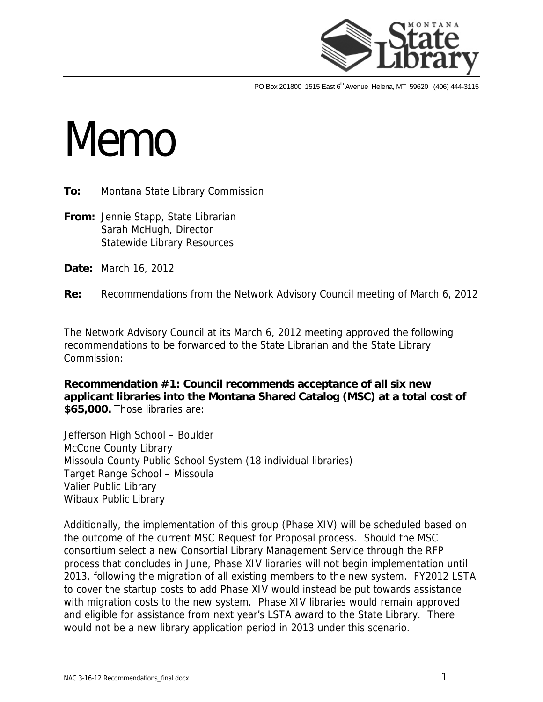

PO Box 201800 1515 East 6<sup>th</sup> Avenue Helena, MT 59620 (406) 444-3115

## **Memo**

**To:** Montana State Library Commission

**From:** Jennie Stapp, State Librarian Sarah McHugh, Director Statewide Library Resources

**Date:** March 16, 2012

**Re:** Recommendations from the Network Advisory Council meeting of March 6, 2012

The Network Advisory Council at its March 6, 2012 meeting approved the following recommendations to be forwarded to the State Librarian and the State Library Commission:

**Recommendation #1: Council recommends acceptance of all six new applicant libraries into the Montana Shared Catalog (MSC) at a total cost of \$65,000.** Those libraries are:

Jefferson High School – Boulder McCone County Library Missoula County Public School System (18 individual libraries) Target Range School – Missoula Valier Public Library Wibaux Public Library

Additionally, the implementation of this group (Phase XIV) will be scheduled based on the outcome of the current MSC Request for Proposal process. Should the MSC consortium select a new Consortial Library Management Service through the RFP process that concludes in June, Phase XIV libraries will not begin implementation until 2013, following the migration of all existing members to the new system. FY2012 LSTA to cover the startup costs to add Phase XIV would instead be put towards assistance with migration costs to the new system. Phase XIV libraries would remain approved and eligible for assistance from next year's LSTA award to the State Library. There would not be a new library application period in 2013 under this scenario.